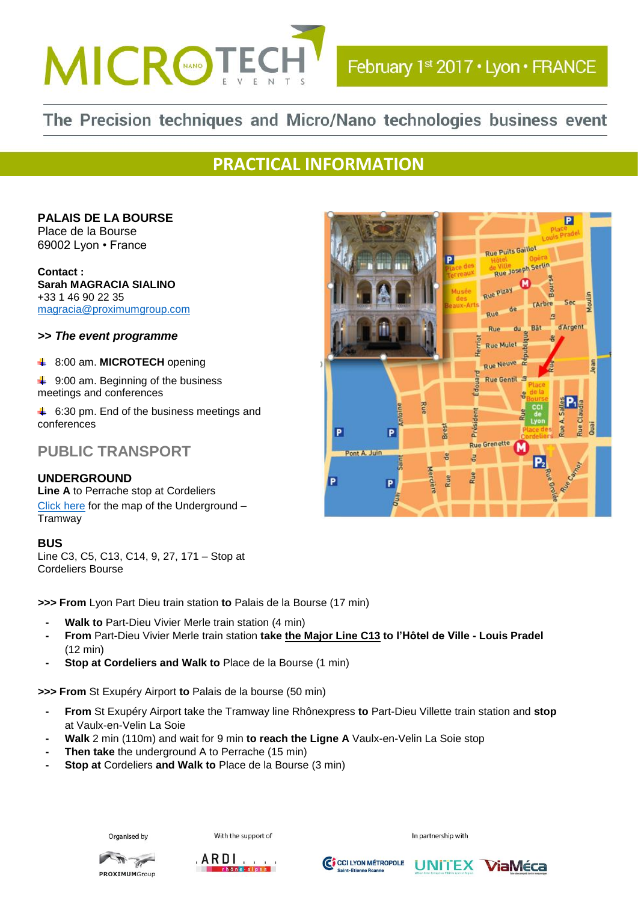

# The Precision techniques and Micro/Nano technologies business event

## **PRACTICAL INFORMATION**

**PALAIS DE LA BOURSE**  Place de la Bourse 69002 Lyon • France

**Contact : Sarah MAGRACIA SIALINO**  +33 1 46 90 22 35 [magracia@proximumgroup.com](mailto:magracia@proximumgroup.com)

*>> The event programme*

8:00 am. **MICROTECH** opening ÷

**↓ 9:00 am. Beginning of the business** meetings and conferences

 $\ddot{+}$  6:30 pm. End of the business meetings and conferences

### **PUBLIC TRANSPORT**

#### **UNDERGROUND**

**Line A** to Perrache stop at Cordeliers [Click](http://www.joursferies.fr/plan_metro/img/plan_metro_lyon.jpg) here for the map of the Underground – Tramway

#### **BUS**

Line C3, C5, C13, C14, 9, 27, 171 – Stop at Cordeliers Bourse

**>>> From** Lyon Part Dieu train station **to** Palais de la Bourse (17 min)

- **- Walk to** Part-Dieu Vivier Merle train station (4 min)
- **- From** Part-Dieu Vivier Merle train station **take the Major Line C13 to l'Hôtel de Ville - Louis Pradel**  (12 min)
- **- Stop at Cordeliers and Walk to** Place de la Bourse (1 min)

**>>> From** St Exupéry Airport **to** Palais de la bourse (50 min)

- **- From** St Exupéry Airport take the Tramway line Rhônexpress **to** Part-Dieu Villette train station and **stop**  at Vaulx-en-Velin La Soie
- **- Walk** 2 min (110m) and wait for 9 min **to reach the Ligne A** Vaulx-en-Velin La Soie stop
- **- Then take** the underground A to Perrache (15 min)
- **- Stop at** Cordeliers **and Walk to** Place de la Bourse (3 min)



With the support of







UNITEX ViaMéca

In partnership with

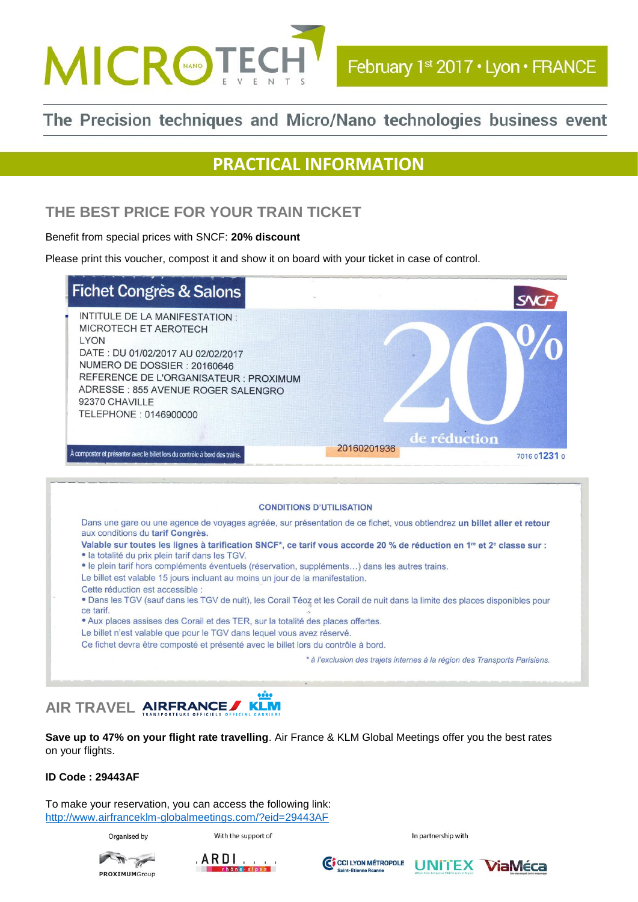

## The Precision techniques and Micro/Nano technologies business event

## **PRACTICAL INFORMATION**

### **THE BEST PRICE FOR YOUR TRAIN TICKET**

Benefit from special prices with SNCF: **20% discount**

Please print this voucher, compost it and show it on board with your ticket in case of control.

| <b>Fichet Congrès &amp; Salons</b>                                                                                                                                                                                                                                     | <b>SNCF</b>                                 |
|------------------------------------------------------------------------------------------------------------------------------------------------------------------------------------------------------------------------------------------------------------------------|---------------------------------------------|
| INTITULE DE LA MANIFESTATION :<br>MICROTECH ET AEROTECH<br><b>LYON</b><br>DATE: DU 01/02/2017 AU 02/02/2017<br>NUMERO DE DOSSIER : 20160646<br>REFERENCE DE L'ORGANISATEUR : PROXIMUM<br>ADRESSE: 855 AVENUE ROGER SALENGRO<br>92370 CHAVILLE<br>TELEPHONE: 0146900000 |                                             |
| À composter et présenter avec le billet lors du contrôle à bord des trains.                                                                                                                                                                                            | de réduction<br>20160201936<br>7016 01231 0 |



#### **Save up to 47% on your flight rate travelling**. Air France & KLM Global Meetings offer you the best rates on your flights.

#### **ID Code : 29443AF**

To make your reservation, you can access the following link: <http://www.airfranceklm-globalmeetings.com/?eid=29443AF>

Organised by

With the support of

In partnership with